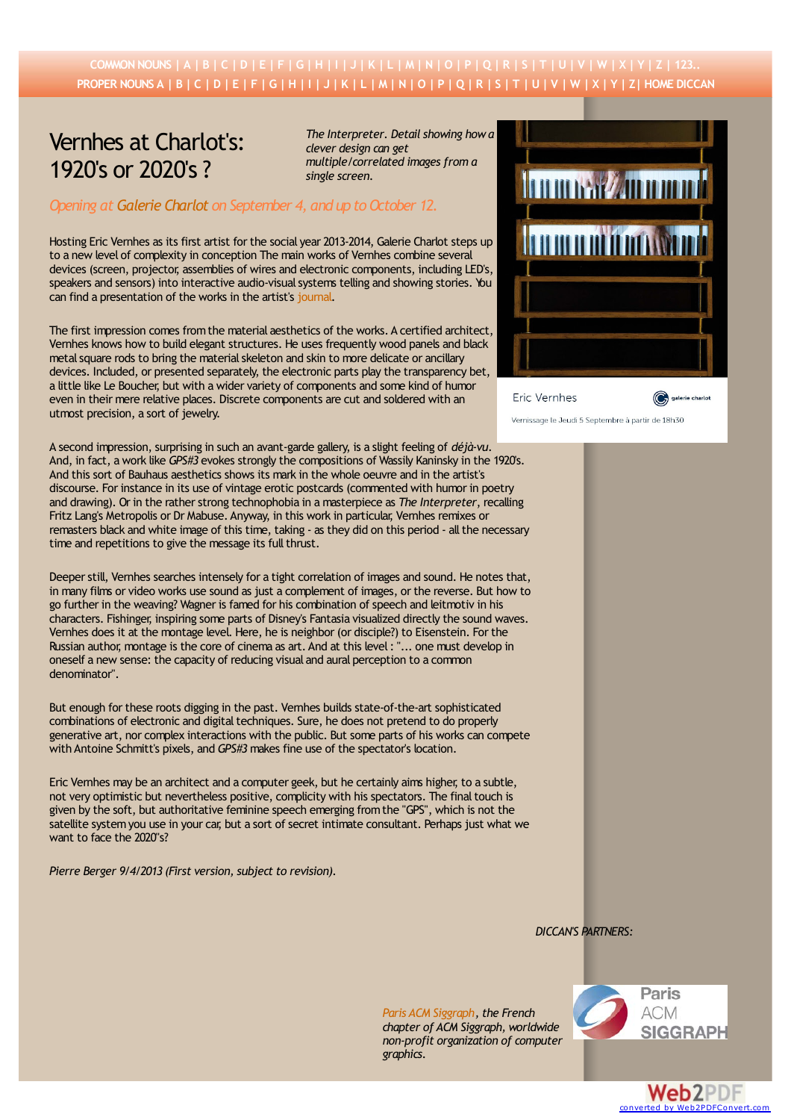## COMMON NOUNS | [A](http://diccan.com/Eica.htm) | [B](http://diccan.com/Eicb.htm) | [C](http://diccan.com/Eicc.htm) | [D](http://diccan.com/Eicd.htm) | [E](http://diccan.com/Eice.htm) | [F](http://diccan.com/Eicf.htm) | [G](http://diccan.com/Eicg.htm) | [H](http://diccan.com/Eich.htm) | [I](http://diccan.com/Eici.htm) | [J](http://diccan.com/Eicj.htm) | [K](http://diccan.com/Eick.htm) | [L](http://diccan.com/Eicl.htm) | [M](http://diccan.com/Eicm.htm) | [N](http://diccan.com/Eicn.htm) | [O](http://diccan.com/Eico.htm) | [P](http://diccan.com/Eicp.htm) | [Q](http://diccan.com/Eicq.htm) | [R](http://diccan.com/Eicr.htm) | [S](http://diccan.com/Eics.htm) | [T](http://diccan.com/Eict.htm) | [U](http://diccan.com/Eicu.htm) | [V](http://diccan.com/Eicv.htm) | [W](http://diccan.com/Eicw.htm) | [X](http://diccan.com/Eicx.htm) | [Y](http://diccan.com/Eicy.htm) | [Z](http://diccan.com/Eicz.htm) | 123. PROPER NOUNS [A](http://diccan.com/Eipa.htm) | [B](http://diccan.com/Eipb.htm) | [C](http://diccan.com/Eipc.htm) | [D](http://diccan.com/Eipd.htm) | [E](http://diccan.com/Eipe.htm) | [F](http://diccan.com/Eipf.htm) | [G](http://diccan.com/Eipg.htm) | [H](http://diccan.com/Eiph.htm) | [I](http://diccan.com/Eipi.htm) | [J](http://diccan.com/Eipj.htm) | [K](http://diccan.com/Eipk.htm) | [L](http://diccan.com/Eipl.htm) | [M](http://diccan.com/Eipm.htm) | [N](http://diccan.com/Eipn.htm) | [O](http://diccan.com/Eipo.htm) | [P](http://diccan.com/Eipp.htm) | [Q](http://diccan.com/Eipq.htm) | [R](http://diccan.com/Eipr.htm) | [S](http://diccan.com/Eips.htm) | [T](http://diccan.com/Eipt.htm) | [U](http://diccan.com/Eipu.htm) | [V](http://diccan.com/Eipv.htm) | [W](http://diccan.com/Eipw.htm) | [X](http://diccan.com/Eipx.htm) | [Y](http://diccan.com/Eipy.htm) | [Z](http://diccan.com/Eipz.htm) [| HOME DICCAN](http://diccan.com/index.htm)

## Vernhes at Charlot's: 1920's or 2020's ?

*The Interpreter. Detail showing how a clever design can get multiple/correlated images from a single screen.*

## *Opening at [Galerie Charlot](http://www.galeriecharlot.com) on September 4, and up to October 12.*

Hosting Eric Vernhes as its first artist for the social year 2013-2014, Galerie Charlot steps up to a new level of complexity in conception The main works of Vernhes combine several devices (screen, projector, assemblies of wires and electronic components, including LED's, speakers and sensors) into interactive audio-visual systems telling and showing stories. You can find a presentation of the works in the artist's [journal](http://www.eriver.fr/).

The first impression comes from the material aesthetics of the works. A certified architect, Vernhes knows how to build elegant structures. He uses frequently wood panels and black metal square rods to bring the material skeleton and skin to more delicate or ancillary devices. Included, or presented separately, the electronic parts play the transparency bet, a little like Le Boucher, but with a wider variety of components and some kind of humor even in their mere relative places. Discrete components are cut and soldered with an utmost precision, a sort of jewelry.

A second impression, surprising in such an avant-garde gallery, is a slight feeling of *déjà-vu*. And, in fact, a work like *GPS#3* evokes strongly the compositions of Wassily Kaninsky in the 1920's. And this sort of Bauhaus aesthetics shows its mark in the whole oeuvre and in the artist's discourse. For instance in its use of vintage erotic postcards (commented with humor in poetry and drawing). Or in the rather strong technophobia in a masterpiece as *The Interpreter*, recalling Fritz Lang's Metropolis or Dr Mabuse. Anyway, in this work in particular, Vernhes remixes or remasters black and white image of this time, taking - as they did on this period - all the necessary time and repetitions to give the message its full thrust.

Deeper still, Vernhes searches intensely for a tight correlation of images and sound. He notes that, in many films or video works use sound as just a complement of images, or the reverse. But how to go further in the weaving? Wagner is famed for his combination of speech and leitmotiv in his characters. Fishinger, inspiring some parts of Disney's Fantasia visualized directly the sound waves. Vernhes does it at the montage level. Here, he is neighbor (or disciple?) to Eisenstein. For the Russian author, montage is the core of cinema as art. And at this level : "... one must develop in oneself a new sense: the capacity of reducing visual and aural perception to a common denominator".

But enough for these roots digging in the past. Vernhes builds state-of-the-art sophisticated combinations of electronic and digital techniques. Sure, he does not pretend to do properly generative art, nor complex interactions with the public. But some parts of his works can compete with Antoine Schmitt's pixels, and *GPS#3* makes fine use of the spectator's location.

Eric Vernhes may be an architect and a computer geek, but he certainly aims higher, to a subtle, not very optimistic but nevertheless positive, complicity with his spectators. The final touch is given by the soft, but authoritative feminine speech emerging from the "GPS", which is not the satellite system you use in your car, but a sort of secret intimate consultant. Perhaps just what we want to face the 2020"s?

*Pierre Berger 9/4/2013 (First version, subject to revision).*

| <b>THERAPY AND DENDE</b> |                 |
|--------------------------|-----------------|
| <b>ANTI ANTI ANTI</b>    |                 |
|                          |                 |
|                          |                 |
| Eric Vernhes             | galerie charlot |

Vernissage le Jeudi 5 Septembre à partir de 18h30

*DICCAN'S PARTNERS:*

*[Paris ACM Siggraph](http://paris.siggraph.org/), the French chapter of ACM Siggraph, worldwide non-profit organization of computer graphics.*